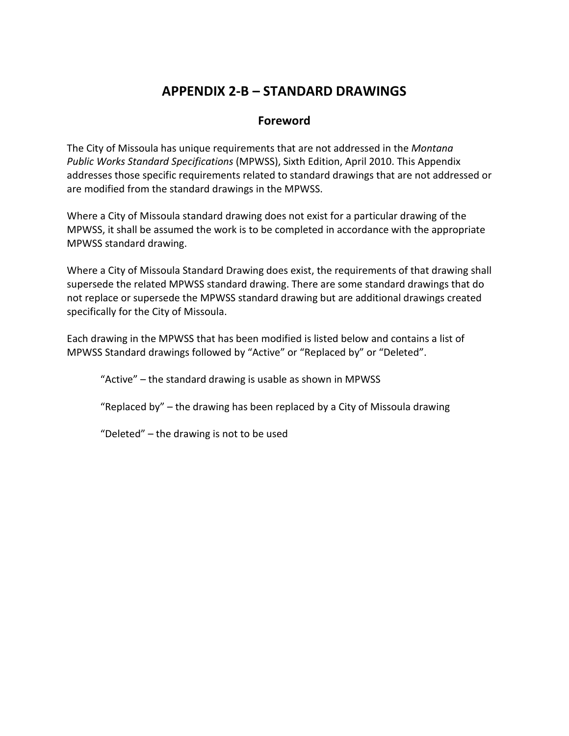## **APPENDIX 2-B – STANDARD DRAWINGS**

## **Foreword**

The City of Missoula has unique requirements that are not addressed in the *Montana Public Works Standard Specifications* (MPWSS), Sixth Edition, April 2010. This Appendix addresses those specific requirements related to standard drawings that are not addressed or are modified from the standard drawings in the MPWSS.

Where a City of Missoula standard drawing does not exist for a particular drawing of the MPWSS, it shall be assumed the work is to be completed in accordance with the appropriate MPWSS standard drawing.

Where a City of Missoula Standard Drawing does exist, the requirements of that drawing shall supersede the related MPWSS standard drawing. There are some standard drawings that do not replace or supersede the MPWSS standard drawing but are additional drawings created specifically for the City of Missoula.

Each drawing in the MPWSS that has been modified is listed below and contains a list of MPWSS Standard drawings followed by "Active" or "Replaced by" or "Deleted".

"Active" – the standard drawing is usable as shown in MPWSS

"Replaced by" – the drawing has been replaced by a City of Missoula drawing

"Deleted" – the drawing is not to be used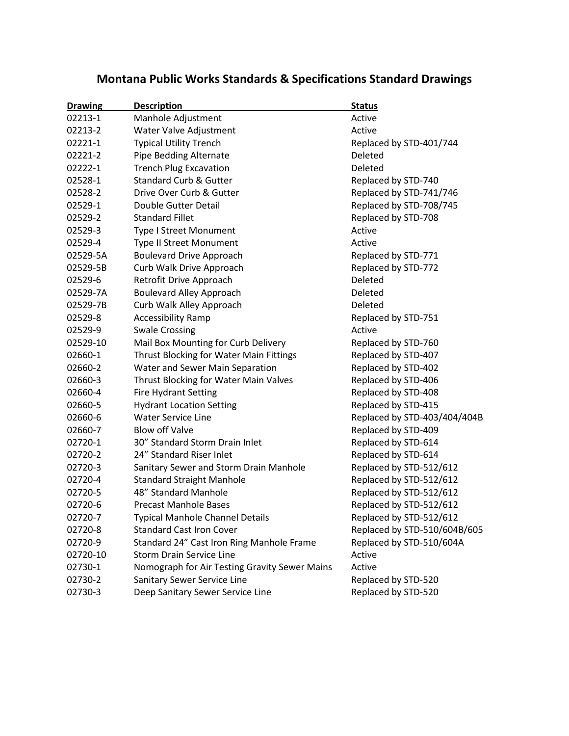# **Montana Public Works Standards & Specifications Standard Drawings**

| <b>Drawing</b> | <b>Description</b>                            | <b>Status</b>                |
|----------------|-----------------------------------------------|------------------------------|
| 02213-1        | Manhole Adjustment                            | Active                       |
| 02213-2        | Water Valve Adjustment                        | Active                       |
| 02221-1        | <b>Typical Utility Trench</b>                 | Replaced by STD-401/744      |
| 02221-2        | Pipe Bedding Alternate                        | Deleted                      |
| 02222-1        | <b>Trench Plug Excavation</b>                 | Deleted                      |
| 02528-1        | <b>Standard Curb &amp; Gutter</b>             | Replaced by STD-740          |
| 02528-2        | Drive Over Curb & Gutter                      | Replaced by STD-741/746      |
| 02529-1        | Double Gutter Detail                          | Replaced by STD-708/745      |
| 02529-2        | <b>Standard Fillet</b>                        | Replaced by STD-708          |
| 02529-3        | Type I Street Monument                        | Active                       |
| 02529-4        | Type II Street Monument                       | Active                       |
| 02529-5A       | <b>Boulevard Drive Approach</b>               | Replaced by STD-771          |
| 02529-5B       | Curb Walk Drive Approach                      | Replaced by STD-772          |
| 02529-6        | Retrofit Drive Approach                       | Deleted                      |
| 02529-7A       | <b>Boulevard Alley Approach</b>               | Deleted                      |
| 02529-7B       | Curb Walk Alley Approach                      | Deleted                      |
| 02529-8        | <b>Accessibility Ramp</b>                     | Replaced by STD-751          |
| 02529-9        | <b>Swale Crossing</b>                         | Active                       |
| 02529-10       | Mail Box Mounting for Curb Delivery           | Replaced by STD-760          |
| 02660-1        | Thrust Blocking for Water Main Fittings       | Replaced by STD-407          |
| 02660-2        | Water and Sewer Main Separation               | Replaced by STD-402          |
| 02660-3        | Thrust Blocking for Water Main Valves         | Replaced by STD-406          |
| 02660-4        | <b>Fire Hydrant Setting</b>                   | Replaced by STD-408          |
| 02660-5        | <b>Hydrant Location Setting</b>               | Replaced by STD-415          |
| 02660-6        | <b>Water Service Line</b>                     | Replaced by STD-403/404/404B |
| 02660-7        | <b>Blow off Valve</b>                         | Replaced by STD-409          |
| 02720-1        | 30" Standard Storm Drain Inlet                | Replaced by STD-614          |
| 02720-2        | 24" Standard Riser Inlet                      | Replaced by STD-614          |
| 02720-3        | Sanitary Sewer and Storm Drain Manhole        | Replaced by STD-512/612      |
| 02720-4        | <b>Standard Straight Manhole</b>              | Replaced by STD-512/612      |
| 02720-5        | 48" Standard Manhole                          | Replaced by STD-512/612      |
| 02720-6        | <b>Precast Manhole Bases</b>                  | Replaced by STD-512/612      |
| 02720-7        | Typical Manhole Channel Details               | Replaced by STD-512/612      |
| 02720-8        | <b>Standard Cast Iron Cover</b>               | Replaced by STD-510/604B/605 |
| 02720-9        | Standard 24" Cast Iron Ring Manhole Frame     | Replaced by STD-510/604A     |
| 02720-10       | <b>Storm Drain Service Line</b>               | Active                       |
| 02730-1        | Nomograph for Air Testing Gravity Sewer Mains | Active                       |
| 02730-2        | Sanitary Sewer Service Line                   | Replaced by STD-520          |
| 02730-3        | Deep Sanitary Sewer Service Line              | Replaced by STD-520          |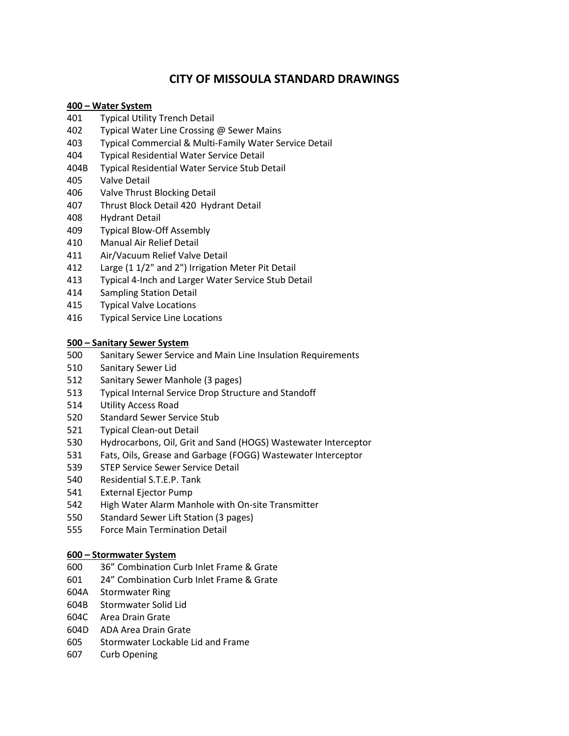## **CITY OF MISSOULA STANDARD DRAWINGS**

#### **400 – Water System**

- Typical Utility Trench Detail
- Typical Water Line Crossing @ Sewer Mains
- Typical Commercial & Multi-Family Water Service Detail
- Typical Residential Water Service Detail
- 404B Typical Residential Water Service Stub Detail
- Valve Detail
- Valve Thrust Blocking Detail
- Thrust Block Detail 420 Hydrant Detail
- Hydrant Detail
- Typical Blow-Off Assembly
- Manual Air Relief Detail
- Air/Vacuum Relief Valve Detail
- Large (1 1/2" and 2") Irrigation Meter Pit Detail
- Typical 4-Inch and Larger Water Service Stub Detail
- Sampling Station Detail
- Typical Valve Locations
- Typical Service Line Locations

#### **500 – Sanitary Sewer System**

- Sanitary Sewer Service and Main Line Insulation Requirements
- Sanitary Sewer Lid
- Sanitary Sewer Manhole (3 pages)
- Typical Internal Service Drop Structure and Standoff
- Utility Access Road
- Standard Sewer Service Stub
- Typical Clean-out Detail
- Hydrocarbons, Oil, Grit and Sand (HOGS) Wastewater Interceptor
- Fats, Oils, Grease and Garbage (FOGG) Wastewater Interceptor
- STEP Service Sewer Service Detail
- Residential S.T.E.P. Tank
- External Ejector Pump
- High Water Alarm Manhole with On-site Transmitter
- Standard Sewer Lift Station (3 pages)
- Force Main Termination Detail

#### **600 – Stormwater System**

- 36" Combination Curb Inlet Frame & Grate
- 24" Combination Curb Inlet Frame & Grate
- 604A Stormwater Ring
- 604B Stormwater Solid Lid
- 604C Area Drain Grate
- 604D ADA Area Drain Grate
- Stormwater Lockable Lid and Frame
- Curb Opening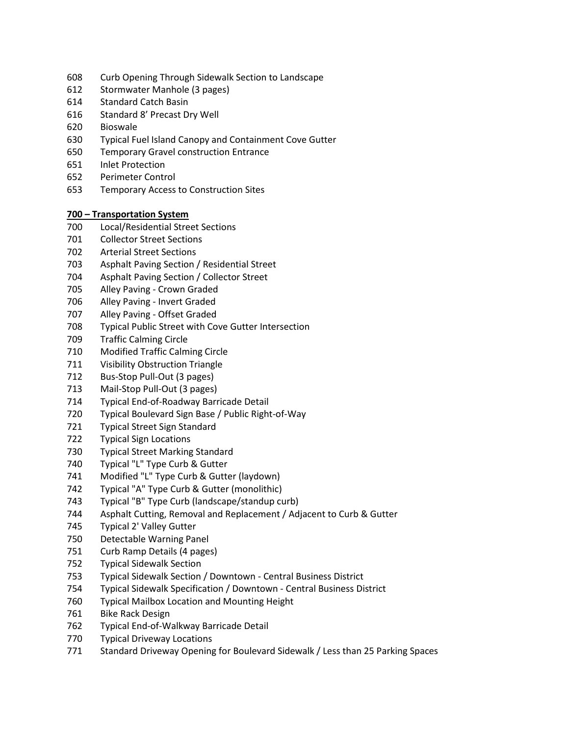- Curb Opening Through Sidewalk Section to Landscape
- Stormwater Manhole (3 pages)
- Standard Catch Basin
- Standard 8' Precast Dry Well
- Bioswale
- Typical Fuel Island Canopy and Containment Cove Gutter
- Temporary Gravel construction Entrance
- Inlet Protection
- 652 Perimeter Control
- 653 Temporary Access to Construction Sites

#### **700 – Transportation System**

- Local/Residential Street Sections
- Collector Street Sections
- Arterial Street Sections
- Asphalt Paving Section / Residential Street
- Asphalt Paving Section / Collector Street
- Alley Paving Crown Graded
- Alley Paving Invert Graded
- Alley Paving Offset Graded
- Typical Public Street with Cove Gutter Intersection
- Traffic Calming Circle
- Modified Traffic Calming Circle
- Visibility Obstruction Triangle
- Bus-Stop Pull-Out (3 pages)
- Mail-Stop Pull-Out (3 pages)
- Typical End-of-Roadway Barricade Detail
- Typical Boulevard Sign Base / Public Right-of-Way
- Typical Street Sign Standard
- Typical Sign Locations
- Typical Street Marking Standard
- Typical "L" Type Curb & Gutter
- Modified "L" Type Curb & Gutter (laydown)
- Typical "A" Type Curb & Gutter (monolithic)
- Typical "B" Type Curb (landscape/standup curb)
- Asphalt Cutting, Removal and Replacement / Adjacent to Curb & Gutter
- Typical 2' Valley Gutter
- Detectable Warning Panel
- Curb Ramp Details (4 pages)
- Typical Sidewalk Section
- Typical Sidewalk Section / Downtown Central Business District
- Typical Sidewalk Specification / Downtown Central Business District
- Typical Mailbox Location and Mounting Height
- Bike Rack Design
- Typical End-of-Walkway Barricade Detail
- Typical Driveway Locations
- Standard Driveway Opening for Boulevard Sidewalk / Less than 25 Parking Spaces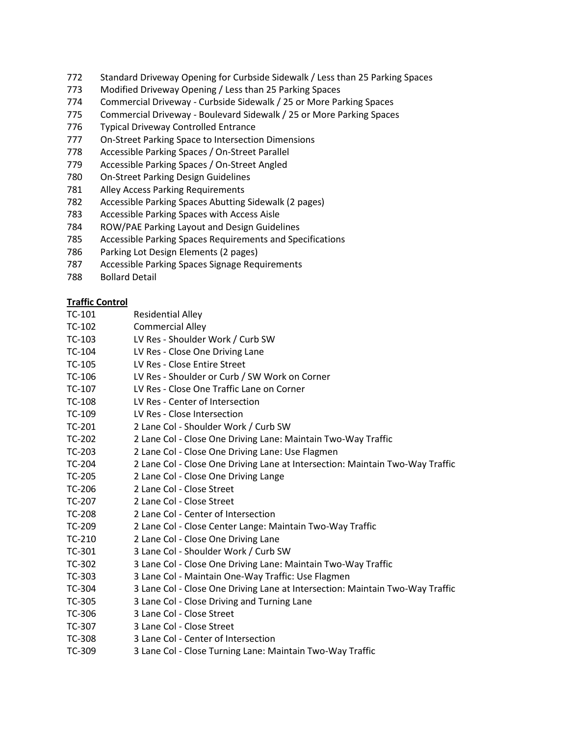- 772 Standard Driveway Opening for Curbside Sidewalk / Less than 25 Parking Spaces
- 773 Modified Driveway Opening / Less than 25 Parking Spaces
- 774 Commercial Driveway Curbside Sidewalk / 25 or More Parking Spaces
- 775 Commercial Driveway Boulevard Sidewalk / 25 or More Parking Spaces
- 776 Typical Driveway Controlled Entrance
- 777 On-Street Parking Space to Intersection Dimensions
- 778 Accessible Parking Spaces / On-Street Parallel
- 779 Accessible Parking Spaces / On-Street Angled
- 780 On-Street Parking Design Guidelines
- 781 Alley Access Parking Requirements
- 782 Accessible Parking Spaces Abutting Sidewalk (2 pages)
- 783 Accessible Parking Spaces with Access Aisle
- 784 ROW/PAE Parking Layout and Design Guidelines
- 785 Accessible Parking Spaces Requirements and Specifications
- 786 Parking Lot Design Elements (2 pages)
- 787 Accessible Parking Spaces Signage Requirements
- 788 Bollard Detail

#### **Traffic Control**

- TC-101 Residential Alley TC-102 Commercial Alley TC-103 LV Res - Shoulder Work / Curb SW TC-104 LV Res - Close One Driving Lane TC-105 LV Res - Close Entire Street TC-106 LV Res - Shoulder or Curb / SW Work on Corner TC-107 LV Res - Close One Traffic Lane on Corner
- 
- TC-108 LV Res Center of Intersection
- TC-109 LV Res Close Intersection
- TC-201 2 Lane Col Shoulder Work / Curb SW
- TC-202 2 Lane Col Close One Driving Lane: Maintain Two-Way Traffic
- TC-203 2 Lane Col Close One Driving Lane: Use Flagmen
- TC-204 2 Lane Col Close One Driving Lane at Intersection: Maintain Two-Way Traffic
- TC-205 2 Lane Col Close One Driving Lange
- TC-206 2 Lane Col Close Street
- TC-207 2 Lane Col Close Street
- TC-208 2 Lane Col Center of Intersection
- TC-209 2 Lane Col Close Center Lange: Maintain Two-Way Traffic
- TC-210 2 Lane Col Close One Driving Lane
- TC-301 3 Lane Col Shoulder Work / Curb SW
- TC-302 3 Lane Col Close One Driving Lane: Maintain Two-Way Traffic
- TC-303 3 Lane Col Maintain One-Way Traffic: Use Flagmen
- TC-304 3 Lane Col Close One Driving Lane at Intersection: Maintain Two-Way Traffic
- TC-305 3 Lane Col Close Driving and Turning Lane
- TC-306 3 Lane Col Close Street
- TC-307 3 Lane Col Close Street
- TC-308 3 Lane Col Center of Intersection
- TC-309 3 Lane Col Close Turning Lane: Maintain Two-Way Traffic